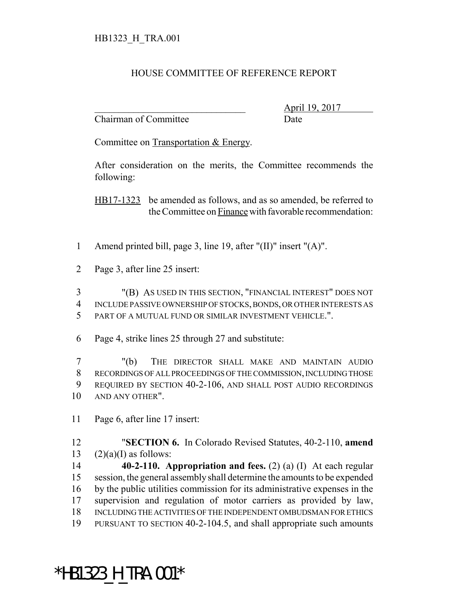## HOUSE COMMITTEE OF REFERENCE REPORT

Chairman of Committee Date

\_\_\_\_\_\_\_\_\_\_\_\_\_\_\_\_\_\_\_\_\_\_\_\_\_\_\_\_\_\_\_ April 19, 2017

Committee on Transportation & Energy.

After consideration on the merits, the Committee recommends the following:

HB17-1323 be amended as follows, and as so amended, be referred to the Committee on Finance with favorable recommendation:

- 1 Amend printed bill, page 3, line 19, after "(II)" insert "(A)".
- 2 Page 3, after line 25 insert:

3 "(B) AS USED IN THIS SECTION, "FINANCIAL INTEREST" DOES NOT 4 INCLUDE PASSIVE OWNERSHIP OF STOCKS, BONDS, OR OTHER INTERESTS AS 5 PART OF A MUTUAL FUND OR SIMILAR INVESTMENT VEHICLE.".

6 Page 4, strike lines 25 through 27 and substitute:

 "(b) THE DIRECTOR SHALL MAKE AND MAINTAIN AUDIO RECORDINGS OF ALL PROCEEDINGS OF THE COMMISSION, INCLUDING THOSE REQUIRED BY SECTION 40-2-106, AND SHALL POST AUDIO RECORDINGS 10 AND ANY OTHER".

11 Page 6, after line 17 insert:

12 "**SECTION 6.** In Colorado Revised Statutes, 40-2-110, **amend** 13  $(2)(a)(I)$  as follows:

 **40-2-110. Appropriation and fees.** (2) (a) (I) At each regular session, the general assembly shall determine the amounts to be expended by the public utilities commission for its administrative expenses in the supervision and regulation of motor carriers as provided by law, INCLUDING THE ACTIVITIES OF THE INDEPENDENT OMBUDSMAN FOR ETHICS PURSUANT TO SECTION 40-2-104.5, and shall appropriate such amounts

## \*HB1323\_H\_TRA.001\*